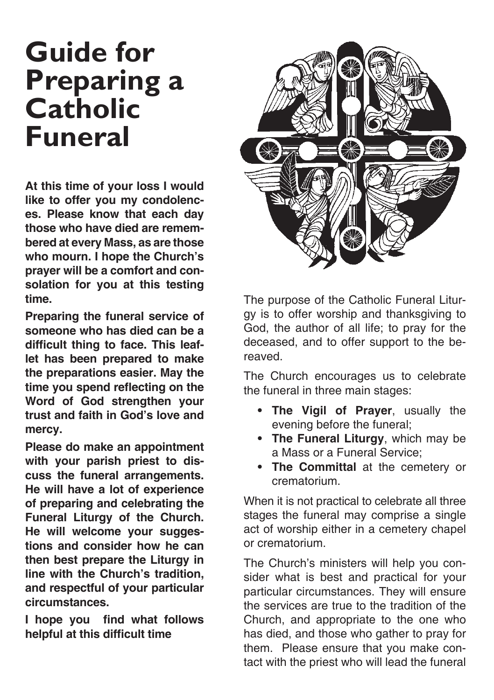# **Guide for Preparing a Catholic Funeral**

**At this time of your loss I would like to offer you my condolences. Please know that each day those who have died are remembered at every Mass, as are those who mourn. I hope the Church's prayer will be a comfort and consolation for you at this testing time.** 

**Preparing the funeral service of someone who has died can be a difficult thing to face. This leaflet has been prepared to make the preparations easier. May the time you spend reflecting on the Word of God strengthen your trust and faith in God's love and mercy.**

**Please do make an appointment with your parish priest to discuss the funeral arrangements. He will have a lot of experience of preparing and celebrating the Funeral Liturgy of the Church. He will welcome your suggestions and consider how he can then best prepare the Liturgy in line with the Church's tradition, and respectful of your particular circumstances.**

**I hope you find what follows helpful at this difficult time**



The purpose of the Catholic Funeral Liturgy is to offer worship and thanksgiving to God, the author of all life; to pray for the deceased, and to offer support to the bereaved.

The Church encourages us to celebrate the funeral in three main stages:

- **• The Vigil of Prayer**, usually the evening before the funeral;
- **• The Funeral Liturgy**, which may be a Mass or a Funeral Service;
- **• The Committal** at the cemetery or crematorium.

When it is not practical to celebrate all three stages the funeral may comprise a single act of worship either in a cemetery chapel or crematorium.

The Church's ministers will help you consider what is best and practical for your particular circumstances. They will ensure the services are true to the tradition of the Church, and appropriate to the one who has died, and those who gather to pray for them. Please ensure that you make contact with the priest who will lead the funeral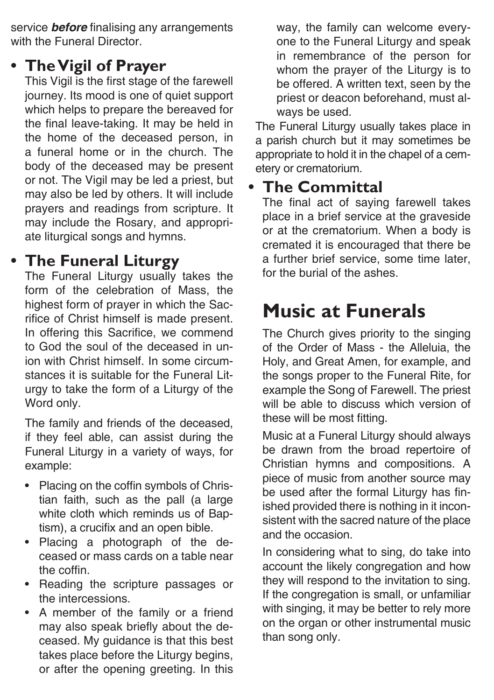service *before* finalising any arrangements with the Funeral Director.

#### **• The Vigil of Prayer**

This Vigil is the first stage of the farewell journey. Its mood is one of quiet support which helps to prepare the bereaved for the final leave-taking. It may be held in the home of the deceased person, in a funeral home or in the church. The body of the deceased may be present or not. The Vigil may be led a priest, but may also be led by others. It will include prayers and readings from scripture. It may include the Rosary, and appropriate liturgical songs and hymns.

#### **• The Funeral Liturgy**

The Funeral Liturgy usually takes the form of the celebration of Mass, the highest form of prayer in which the Sacrifice of Christ himself is made present. In offering this Sacrifice, we commend to God the soul of the deceased in union with Christ himself. In some circumstances it is suitable for the Funeral Liturgy to take the form of a Liturgy of the Word only.

The family and friends of the deceased, if they feel able, can assist during the Funeral Liturgy in a variety of ways, for example:

- Placing on the coffin symbols of Christian faith, such as the pall (a large white cloth which reminds us of Baptism), a crucifix and an open bible.
- Placing a photograph of the deceased or mass cards on a table near the coffin.
- Reading the scripture passages or the intercessions.
- A member of the family or a friend may also speak briefly about the deceased. My guidance is that this best takes place before the Liturgy begins, or after the opening greeting. In this

way, the family can welcome everyone to the Funeral Liturgy and speak in remembrance of the person for whom the prayer of the Liturgy is to be offered. A written text, seen by the priest or deacon beforehand, must always be used.

The Funeral Liturgy usually takes place in a parish church but it may sometimes be appropriate to hold it in the chapel of a cemetery or crematorium.

#### **• The Committal**

The final act of saying farewell takes place in a brief service at the graveside or at the crematorium. When a body is cremated it is encouraged that there be a further brief service, some time later, for the burial of the ashes.

### **Music at Funerals**

The Church gives priority to the singing of the Order of Mass - the Alleluia, the Holy, and Great Amen, for example, and the songs proper to the Funeral Rite, for example the Song of Farewell. The priest will be able to discuss which version of these will be most fitting.

Music at a Funeral Liturgy should always be drawn from the broad repertoire of Christian hymns and compositions. A piece of music from another source may be used after the formal Liturgy has finished provided there is nothing in it inconsistent with the sacred nature of the place and the occasion.

In considering what to sing, do take into account the likely congregation and how they will respond to the invitation to sing. If the congregation is small, or unfamiliar with singing, it may be better to rely more on the organ or other instrumental music than song only.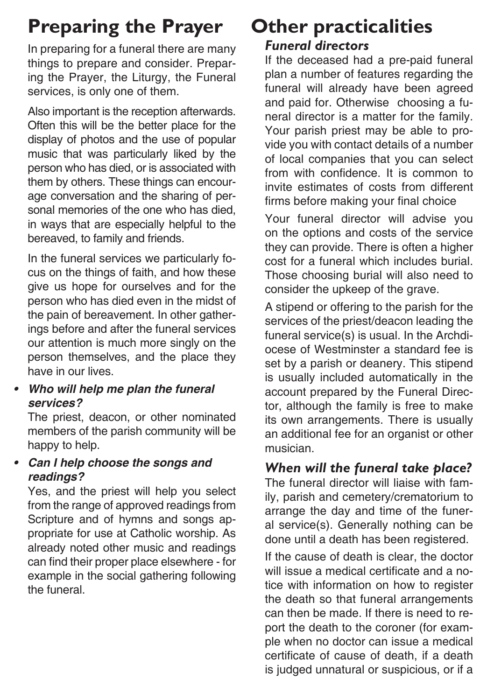## **Preparing the Prayer**

In preparing for a funeral there are many things to prepare and consider. Preparing the Prayer, the Liturgy, the Funeral services, is only one of them.

Also important is the reception afterwards. Often this will be the better place for the display of photos and the use of popular music that was particularly liked by the person who has died, or is associated with them by others. These things can encourage conversation and the sharing of personal memories of the one who has died in ways that are especially helpful to the bereaved, to family and friends.

In the funeral services we particularly focus on the things of faith, and how these give us hope for ourselves and for the person who has died even in the midst of the pain of bereavement. In other gatherings before and after the funeral services our attention is much more singly on the person themselves, and the place they have in our lives.

#### *• Who will help me plan the funeral services?*

The priest, deacon, or other nominated members of the parish community will be happy to help.

*• Can I help choose the songs and readings?*

Yes, and the priest will help you select from the range of approved readings from Scripture and of hymns and songs appropriate for use at Catholic worship. As already noted other music and readings can find their proper place elsewhere - for example in the social gathering following the funeral.

#### **Other practicalities** *Funeral directors*

If the deceased had a pre-paid funeral plan a number of features regarding the funeral will already have been agreed and paid for. Otherwise choosing a funeral director is a matter for the family. Your parish priest may be able to provide you with contact details of a number of local companies that you can select from with confidence. It is common to invite estimates of costs from different firms before making your final choice

Your funeral director will advise you on the options and costs of the service they can provide. There is often a higher cost for a funeral which includes burial. Those choosing burial will also need to consider the upkeep of the grave.

A stipend or offering to the parish for the services of the priest/deacon leading the funeral service(s) is usual. In the Archdiocese of Westminster a standard fee is set by a parish or deanery. This stipend is usually included automatically in the account prepared by the Funeral Director, although the family is free to make its own arrangements. There is usually an additional fee for an organist or other musician.

#### *When will the funeral take place?*

The funeral director will liaise with family, parish and cemetery/crematorium to arrange the day and time of the funeral service(s). Generally nothing can be done until a death has been registered.

If the cause of death is clear, the doctor will issue a medical certificate and a notice with information on how to register the death so that funeral arrangements can then be made. If there is need to report the death to the coroner (for example when no doctor can issue a medical certificate of cause of death, if a death is judged unnatural or suspicious, or if a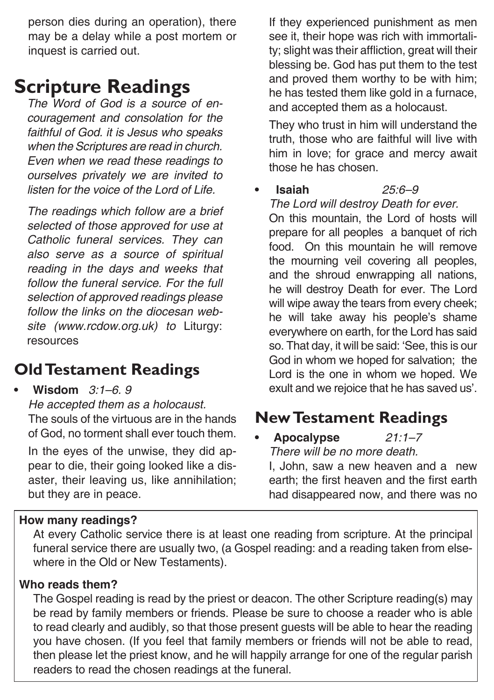person dies during an operation), there may be a delay while a post mortem or inquest is carried out.

### **Scripture Readings**

*The Word of God is a source of encouragement and consolation for the faithful of God. it is Jesus who speaks when the Scriptures are read in church. Even when we read these readings to ourselves privately we are invited to listen for the voice of the Lord of Life.*

*The readings which follow are a brief selected of those approved for use at Catholic funeral services. They can also serve as a source of spiritual reading in the days and weeks that follow the funeral service. For the full selection of approved readings please follow the links on the diocesan website (www.rcdow.org.uk) to* Liturgy: resources

### **Old Testament Readings**

**• Wisdom** *3:1–6. 9*

*He accepted them as a holocaust.*  The souls of the virtuous are in the hands of God, no torment shall ever touch them.

In the eyes of the unwise, they did appear to die, their going looked like a disaster, their leaving us, like annihilation; but they are in peace.

If they experienced punishment as men see it, their hope was rich with immortality; slight was their affliction, great will their blessing be. God has put them to the test and proved them worthy to be with him; he has tested them like gold in a furnace, and accepted them as a holocaust.

They who trust in him will understand the truth, those who are faithful will live with him in love; for grace and mercy await those he has chosen.

**• Isaiah** *25:6–9 The Lord will destroy Death for ever.* On this mountain, the Lord of hosts will prepare for all peoples a banquet of rich food. On this mountain he will remove the mourning veil covering all peoples, and the shroud enwrapping all nations, he will destroy Death for ever. The Lord will wipe away the tears from every cheek; he will take away his people's shame everywhere on earth, for the Lord has said so. That day, it will be said: 'See, this is our God in whom we hoped for salvation; the Lord is the one in whom we hoped. We exult and we rejoice that he has saved us'.

### **New Testament Readings**

**• Apocalypse** *21:1–7 There will be no more death.* I, John, saw a new heaven and a new earth; the first heaven and the first earth had disappeared now, and there was no

#### **How many readings?**

At every Catholic service there is at least one reading from scripture. At the principal funeral service there are usually two, (a Gospel reading: and a reading taken from elsewhere in the Old or New Testaments).

#### **Who reads them?**

The Gospel reading is read by the priest or deacon. The other Scripture reading(s) may be read by family members or friends. Please be sure to choose a reader who is able to read clearly and audibly, so that those present guests will be able to hear the reading you have chosen. (If you feel that family members or friends will not be able to read, then please let the priest know, and he will happily arrange for one of the regular parish readers to read the chosen readings at the funeral.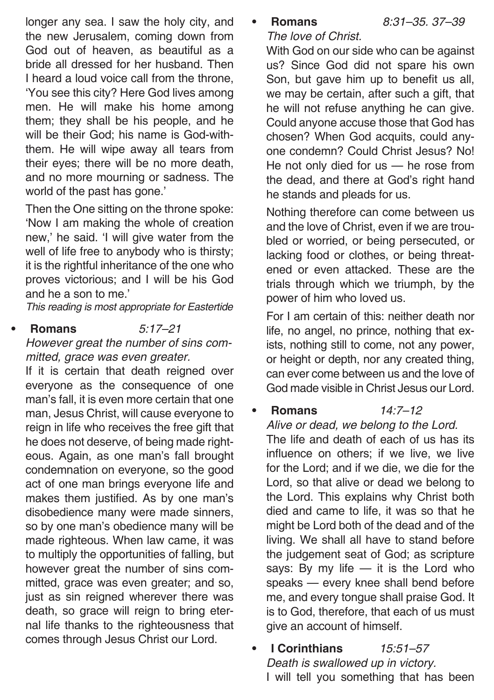longer any sea. I saw the holy city, and the new Jerusalem, coming down from the new Jerusalem, coming down from God out of heaven, as beautiful as a God out of heaven, as beautiful as a bride all dressed for her husband. Then bride all dressed for her husband. Then I heard a loud voice call from the throne, I heard a loud voice call from the throne, 'You see this city? Here God lives among 'You see this city? Here God lives among men. He will make his home among men. He will make his home among them; they shall be his people, and he them; they shall be his people, and he will be their God; his name is God-with-will be their God; his name is God-withthem. He will wipe away all tears from them. He will wipe away all tears from their eyes; there will be no more death, their there will be no more death, and no more mourning or sadness. The and no more mourning or sadness. The world of the past has gone.' longer any sea. I saw the holy city, and<br>the new Jerusalem, coming down from<br>God out of heaven, as beautiful as a<br>bride all dressed for her husband. Then<br>leard a loud voice call from the throne,<br>"You see this city? Here G

world of the past has gone.'<br>Then the One sitting on the throne spoke: 'Now I am making the whole of creation 'Now I am making the whole of creation new,' he said. 'I will give water from the new,' he said. 'I will give water from the well of life free to anybody who is thirsty; it is the rightful inheritance of the one who it the rightful inheritance of the one who proves victorious; and I will be his God proves victorious; and I will be his God and he a son to me.' and he a son to me.'

*This reading is most appropriate for Eastertide This reading is most appropriate for Eastertide*

#### **• Romans** *5:17–21* **• Romans** *5:17–21 However great the number of sins committed, grace was even greater. However great the number of sins mitted, grace was even greater.*

If it is certain that death reigned over If it is certain that death reigned over everyone as the consequence of one as the consequence of one man's fall, it is even more certain that one man, Jesus Christ, will cause everyone to man, Jesus Christ, will cause everyone to reign in life who receives the free gift that reign in life who receives the free gift that he does not deserve, of being made right-he not deserve, of being made righteous. Again, as one man's fall brought condemnation on everyone, so the good condemnation on everyone, the good act of one man brings everyone life and act of one brings everyone life and makes them justified. As by one man's makes them justified. As by one man's disobedience many were made sinners, disobedience many were made sinners, so by one man's obedience many will be so by one man's obedience many will be made righteous. When law came, it was made righteous. When law came, it was to multiply the opportunities of falling, but multiply the opportunities of falling, but however great the number of sins comhowever great the number of sins com-<br>mitted, grace was even greater; and so, just as sin reigned wherever there was death, so grace will reign to bring eterdeath, so grace will reign to bring eter-<br>nal life thanks to the righteousness that comes through Jesus Christ our Lord. comes through Jesus Christ It will be the made righteous. When law came, it was<br>
It was living. We shall all have to stand before<br>
to multiply the opportunities of falling, but<br>
the judgement seat of God; as scripture<br>
however great the number of si

**• Romans** *8:31–35. 37–39*

*The love of Christ.* **•Romans** *8:31–35. 37–39The love of Christ.*

With God on our side who can be against With God on our side who can be against<br>us? Since God did not spare his own Son, but gave him up to benefit us all, Son, but gave him up to benefit us all, we may be certain, after such a gift, that he will not refuse anything he can give. Could anyone accuse those that God has chosen? When God acquits, could anyone condemn? Could Christ Jesus? No! He not only died for us — he rose from the dead, and there at God's right hand he stands and pleads for us. we may be certain, after such a gift, that<br>he will not refuse anything he can give.<br>Could anyone accuse those that God has<br>chosen? When God acquits, could anyone condemn? Could Christ Jesus? No!<br>He not only died for us — he rose from<br>the dead, and there at God's right hand<br>he stands and pleads for us.<br>Nothing therefore can come between us<br>and the love of Christ, even if we are

Nothing therefore can come between us and the love of Christ, even if we are troubled or worried, or being persecuted, or bled or worried, or being persecuted, or<br>lacking food or clothes, or being threatened or even attacked. These are the trials through which we triumph, by the power of him who loved us. ened or even attacked. These are the<br>trials through which we triumph, by the<br>power of him who loved us.

For I am certain of this: neither death nor For I am certain of this: neither death nor<br>life, no angel, no prince, nothing that exists, nothing still to come, not any power, or height or depth, nor any created thing, can ever come between us and the love of God made visible in Christ Jesus our Lord. ists, nothing still to come, not any power, or height or depth, nor any created thing, can ever come between us and the love of God made visible in Christ Jesus our Lord.

#### **• Romans** *14:7–12* **•Romans** *14:7–12*

*Alive or dead, we belong to the Lord. Alive or dead, we belong the Lord.*The life and death of each of us has its The life and death of each of us has its influence on others; if we live, we live for the Lord; and if we die, we die for the Lord, so that alive or dead we belong to the Lord. This explains why Christ both died and came to life, it was so that he might be Lord both of the dead and of the living. We shall all have to stand before the judgement seat of God; as scripture says: By my life — it is the Lord who speaks — every knee shall bend before me, and every tongue shall praise God. It is to God, therefore, that each of us must give an account of himself. for the Lord; and if we die, we die for the<br>Lord, so that alive or dead we belong to<br>the Lord. This explains why Christ both<br>died and came to life, it was so that he<br>might be Lord both of the dead and of the<br>living. We sha

#### **• I Corinthians** *15:51–57* **•I Corinthians** *15:51–57 Death is swallowed up in victory. Death in victory.* I will tell you something that has been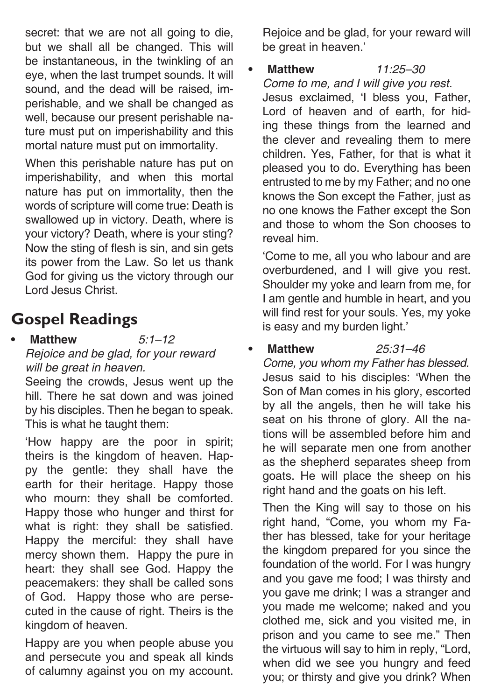secret: that we are not all going to die, but we shall all be changed. This will be instantaneous, in the twinkling of an eye, when the last trumpet sounds. It will sound, and the dead will be raised, imperishable, and we shall be changed as well, because our present perishable nature must put on imperishability and this mortal nature must put on immortality.

When this perishable nature has put on imperishability, and when this mortal nature has put on immortality, then the words of scripture will come true: Death is swallowed up in victory. Death, where is your victory? Death, where is your sting? Now the sting of flesh is sin, and sin gets its power from the Law. So let us thank God for giving us the victory through our Lord Jesus Christ.

### **Gospel Readings**

**• Matthew** *5:1–12 Rejoice and be glad, for your reward will be great in heaven.* 

Seeing the crowds, Jesus went up the hill. There he sat down and was joined by his disciples. Then he began to speak. This is what he taught them:

'How happy are the poor in spirit; theirs is the kingdom of heaven. Happy the gentle: they shall have the earth for their heritage. Happy those who mourn: they shall be comforted. Happy those who hunger and thirst for what is right: they shall be satisfied. Happy the merciful: they shall have mercy shown them. Happy the pure in heart: they shall see God. Happy the peacemakers: they shall be called sons of God. Happy those who are persecuted in the cause of right. Theirs is the kingdom of heaven.

Happy are you when people abuse you and persecute you and speak all kinds of calumny against you on my account.

Rejoice and be glad, for your reward will be great in heaven.'

**• Matthew** *11:25–30 Come to me, and I will give you rest.* Jesus exclaimed, 'I bless you, Father, Lord of heaven and of earth, for hiding these things from the learned and the clever and revealing them to mere children. Yes, Father, for that is what it pleased you to do. Everything has been entrusted to me by my Father; and no one knows the Son except the Father, just as no one knows the Father except the Son and those to whom the Son chooses to reveal him.

'Come to me, all you who labour and are overburdened, and I will give you rest. Shoulder my yoke and learn from me, for I am gentle and humble in heart, and you will find rest for your souls. Yes, my yoke is easy and my burden light.'

#### **• Matthew** *25:31–46*

*Come, you whom my Father has blessed.* Jesus said to his disciples: 'When the Son of Man comes in his glory, escorted by all the angels, then he will take his seat on his throne of glory. All the nations will be assembled before him and he will separate men one from another as the shepherd separates sheep from goats. He will place the sheep on his right hand and the goats on his left.

Then the King will say to those on his right hand, "Come, you whom my Father has blessed, take for your heritage the kingdom prepared for you since the foundation of the world. For I was hungry and you gave me food; I was thirsty and you gave me drink; I was a stranger and you made me welcome; naked and you clothed me, sick and you visited me, in prison and you came to see me." Then the virtuous will say to him in reply, "Lord, when did we see you hungry and feed you; or thirsty and give you drink? When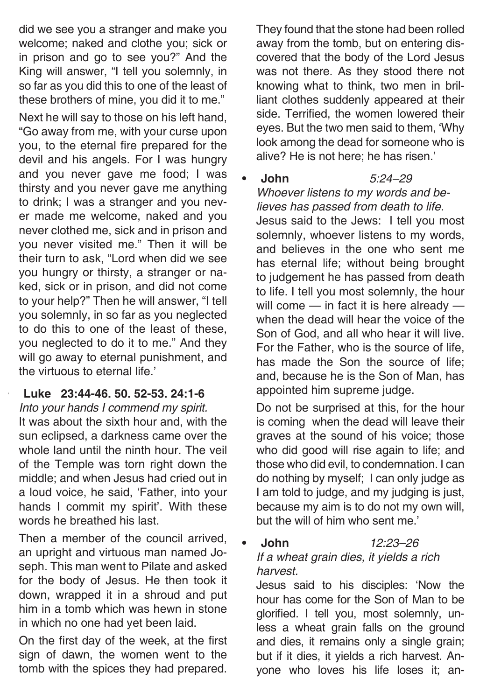did we see you a stranger and make you welcome; naked and clothe you; sick or in prison and go to see you?" And the King will answer, "I tell you solemnly, in so far as you did this to one of the least of these brothers of mine, you did it to me."

Next he will say to those on his left hand, "Go away from me, with your curse upon you, to the eternal fire prepared for the devil and his angels. For I was hungry and you never gave me food; I was thirsty and you never gave me anything to drink; I was a stranger and you never made me welcome, naked and you never clothed me, sick and in prison and you never visited me." Then it will be their turn to ask, "Lord when did we see you hungry or thirsty, a stranger or naked, sick or in prison, and did not come to your help?" Then he will answer, "I tell you solemnly, in so far as you neglected to do this to one of the least of these, you neglected to do it to me." And they will go away to eternal punishment, and the virtuous to eternal life.'

#### **• Luke 23:44-46. 50. 52-53. 24:1-6**

*Into your hands I commend my spirit.* It was about the sixth hour and, with the sun eclipsed, a darkness came over the whole land until the ninth hour. The veil of the Temple was torn right down the middle; and when Jesus had cried out in a loud voice, he said, 'Father, into your hands I commit my spirit'. With these words he breathed his last.

Then a member of the council arrived, an upright and virtuous man named Joseph. This man went to Pilate and asked for the body of Jesus. He then took it down, wrapped it in a shroud and put him in a tomb which was hewn in stone in which no one had yet been laid.

On the first day of the week, at the first sign of dawn, the women went to the tomb with the spices they had prepared.

They found that the stone had been rolled away from the tomb, but on entering discovered that the body of the Lord Jesus was not there. As they stood there not knowing what to think, two men in brilliant clothes suddenly appeared at their side. Terrified, the women lowered their eyes. But the two men said to them, 'Why look among the dead for someone who is alive? He is not here; he has risen.'

**• John** *5:24–29 Whoever listens to my words and believes has passed from death to life.*  Jesus said to the Jews: I tell you most solemnly, whoever listens to my words. and believes in the one who sent me has eternal life; without being brought to judgement he has passed from death to life. I tell you most solemnly, the hour will come — in fact it is here already when the dead will hear the voice of the Son of God, and all who hear it will live. For the Father, who is the source of life, has made the Son the source of life; and, because he is the Son of Man, has appointed him supreme judge.

Do not be surprised at this, for the hour is coming when the dead will leave their graves at the sound of his voice; those who did good will rise again to life; and those who did evil, to condemnation. I can do nothing by myself; I can only judge as I am told to judge, and my judging is just, because my aim is to do not my own will, but the will of him who sent me.'

**• John** *12:23–26 If a wheat grain dies, it yields a rich harvest.* 

Jesus said to his disciples: 'Now the hour has come for the Son of Man to be glorified. I tell you, most solemnly, unless a wheat grain falls on the ground and dies, it remains only a single grain; but if it dies, it yields a rich harvest. Anyone who loves his life loses it; an